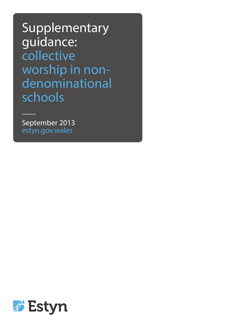Supplementary guidance: collective worship in nondenominational schools

September 2013 estyn.gov.wales

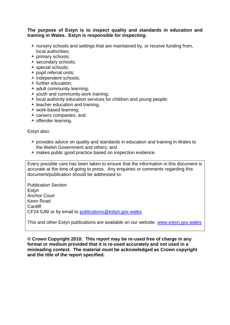## **The purpose of Estyn is to inspect quality and standards in education and training in Wales. Estyn is responsible for inspecting:**

- $\lambda$  nursery schools and settings that are maintained by, or receive funding from, local authorities;
- $\overline{\phantom{a}}$  primary schools;
- ▲ secondary schools;
- $\overline{\phantom{a}}$  special schools;
- $\blacktriangle$  pupil referral units;
- $\overline{\phantom{a}}$  independent schools;
- $\blacktriangle$  further education:
- $\overline{\phantom{a}}$  adult community learning;
- $\lambda$  youth and community work training;
- $\overline{\phantom{a}}$  local authority education services for children and young people;
- $\triangle$  teacher education and training:
- work-based learning;
- $\overline{\phantom{a}}$  careers companies; and
- $\overline{\phantom{a}}$  offender learning.

Estyn also:

- $\triangle$  provides advice on quality and standards in education and training in Wales to the Welsh Government and others; and
- A makes public good practice based on inspection evidence.

Every possible care has been taken to ensure that the information in this document is accurate at the time of going to press. Any enquiries or comments regarding this document/publication should be addressed to:

Publication Section Estyn Anchor Court Keen Road Cardiff CF24 5JW or by email to [publications@estyn.gov.wales](mailto:publications@estyn.gov.wales)

This and other Estyn publications are available on our website: [www.estyn.gov.wales](http://www.estyn.gov.wales/)

**© Crown Copyright 2010: This report may be re-used free of charge in any format or medium provided that it is re-used accurately and not used in a misleading context. The material must be acknowledged as Crown copyright and the title of the report specified.**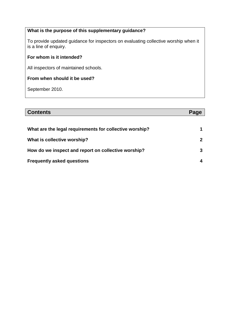## **What is the purpose of this supplementary guidance?**

To provide updated guidance for inspectors on evaluating collective worship when it is a line of enquiry.

## **For whom is it intended?**

All inspectors of maintained schools.

#### **From when should it be used?**

September 2010.

# **Contents Page What are the legal requirements for collective worship? What is collective worship? How do we inspect and report on collective worship? Frequently asked questions 1 2 3 4**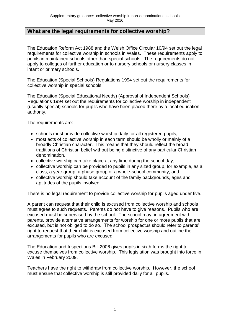# **What are the legal requirements for collective worship?**

The Education Reform Act 1988 and the Welsh Office Circular 10/94 set out the legal requirements for collective worship in schools in Wales. These requirements apply to pupils in maintained schools other than special schools. The requirements do not apply to colleges of further education or to nursery schools or nursery classes in infant or primary schools.

The Education (Special Schools) Regulations 1994 set out the requirements for collective worship in special schools.

The Education (Special Educational Needs) (Approval of Independent Schools) Regulations 1994 set out the requirements for collective worship in independent (usually special) schools for pupils who have been placed there by a local education authority.

The requirements are:

- schools must provide collective worship daily for all registered pupils,
- most acts of collective worship in each term should be wholly or mainly of a broadly Christian character. This means that they should reflect the broad traditions of Christian belief without being distinctive of any particular Christian denomination,
- collective worship can take place at any time during the school day,
- collective worship can be provided to pupils in any sized group, for example, as a class, a year group, a phase group or a whole-school community, and
- collective worship should take account of the family backgrounds, ages and aptitudes of the pupils involved.

There is no legal requirement to provide collective worship for pupils aged under five.

A parent can request that their child is excused from collective worship and schools must agree to such requests. Parents do not have to give reasons. Pupils who are excused must be supervised by the school. The school may, in agreement with parents, provide alternative arrangements for worship for one or more pupils that are excused, but is not obliged to do so. The school prospectus should refer to parents' right to request that their child is excused from collective worship and outline the arrangements for pupils who are excused.

The Education and Inspections Bill 2006 gives pupils in sixth forms the right to excuse themselves from collective worship. This legislation was brought into force in Wales in February 2009.

Teachers have the right to withdraw from collective worship. However, the school must ensure that collective worship is still provided daily for all pupils.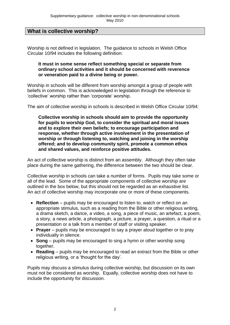# **What is collective worship?**

Worship is not defined in legislation. The guidance to schools in Welsh Office Circular 10/94 includes the following definition:

#### **It must in some sense reflect something special or separate from ordinary school activities and it should be concerned with reverence or veneration paid to a divine being or power.**

Worship in schools will be different from worship amongst a group of people with beliefs in common. This is acknowledged in legislation through the reference to 'collective' worship rather than 'corporate' worship.

The aim of collective worship in schools is described in Welsh Office Circular 10/94:

**Collective worship in schools should aim to provide the opportunity for pupils to worship God, to consider the spiritual and moral issues and to explore their own beliefs; to encourage participation and response, whether through active involvement in the presentation of worship or through listening to, watching and joining in the worship offered; and to develop community spirit, promote a common ethos and shared values, and reinforce positive attitudes.**

An act of collective worship is distinct from an assembly. Although they often take place during the same gathering, the difference between the two should be clear.

Collective worship in schools can take a number of forms. Pupils may take some or all of the lead. Some of the appropriate components of collective worship are outlined in the box below, but this should not be regarded as an exhaustive list. An act of collective worship may incorporate one or more of these components.

- **Reflection** pupils may be encouraged to listen to, watch or reflect on an appropriate stimulus, such as a reading from the Bible or other religious writing, a drama sketch, a dance, a video, a song, a piece of music, an artefact, a poem, a story, a news article, a photograph, a picture, a prayer, a question, a ritual or a presentation or a talk from a member of staff or visiting speaker.
- **Prayer** pupils may be encouraged to say a prayer aloud together or to pray individually in silence.
- **Song** pupils may be encouraged to sing a hymn or other worship song together.
- **Reading** pupils may be encouraged to read an extract from the Bible or other religious writing, or a 'thought for the day'.

Pupils may discuss a stimulus during collective worship, but discussion on its own must not be considered as worship. Equally, collective worship does not have to include the opportunity for discussion.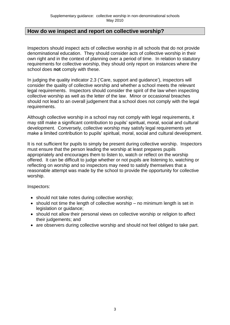# **How do we inspect and report on collective worship?**

Inspectors should inspect acts of collective worship in all schools that do not provide denominational education. They should consider acts of collective worship in their own right and in the context of planning over a period of time. In relation to statutory requirements for collective worship, they should only report on instances where the school does **not** comply with these.

In judging the quality indicator 2.3 ('Care, support and guidance'), inspectors will consider the quality of collective worship and whether a school meets the relevant legal requirements. Inspectors should consider the spirit of the law when inspecting collective worship as well as the letter of the law. Minor or occasional breaches should not lead to an overall judgement that a school does not comply with the legal requirements.

Although collective worship in a school may not comply with legal requirements, it may still make a significant contribution to pupils' spiritual, moral, social and cultural development. Conversely, collective worship may satisfy legal requirements yet make a limited contribution to pupils' spiritual, moral, social and cultural development.

It is not sufficient for pupils to simply be present during collective worship. Inspectors must ensure that the person leading the worship at least prepares pupils appropriately and encourages them to listen to, watch or reflect on the worship offered. It can be difficult to judge whether or not pupils are listening to, watching or reflecting on worship and so inspectors may need to satisfy themselves that a reasonable attempt was made by the school to provide the opportunity for collective worship.

Inspectors:

- should not take notes during collective worship;
- $\bullet$  should not time the length of collective worship no minimum length is set in legislation or guidance;
- should not allow their personal views on collective worship or religion to affect their judgements; and
- are observers during collective worship and should not feel obliged to take part.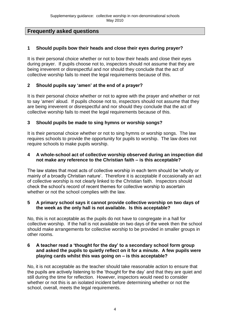# **Frequently asked questions**

# **1 Should pupils bow their heads and close their eyes during prayer?**

It is their personal choice whether or not to bow their heads and close their eyes during prayer. If pupils choose not to, inspectors should not assume that they are being irreverent or disrespectful and nor should they conclude that the act of collective worship fails to meet the legal requirements because of this.

# **2 Should pupils say 'amen' at the end of a prayer?**

It is their personal choice whether or not to agree with the prayer and whether or not to say 'amen' aloud. If pupils choose not to, inspectors should not assume that they are being irreverent or disrespectful and nor should they conclude that the act of collective worship fails to meet the legal requirements because of this.

## **3 Should pupils be made to sing hymns or worship songs?**

It is their personal choice whether or not to sing hymns or worship songs. The law requires schools to provide the opportunity for pupils to worship. The law does not require schools to make pupils worship.

## **4 A whole-school act of collective worship observed during an inspection did not make any reference to the Christian faith – is this acceptable?**

The law states that most acts of collective worship in each term should be 'wholly or mainly of a broadly Christian nature'. Therefore it is acceptable if occasionally an act of collective worship is not clearly linked to the Christian faith. Inspectors should check the school's record of recent themes for collective worship to ascertain whether or not the school complies with the law.

## **5 A primary school says it cannot provide collective worship on two days of the week as the only hall is not available. Is this acceptable?**

No, this is not acceptable as the pupils do not have to congregate in a hall for collective worship. If the hall is not available on two days of the week then the school should make arrangements for collective worship to be provided in smaller groups in other rooms.

#### **6 A teacher read a 'thought for the day' to a secondary school form group and asked the pupils to quietly reflect on it for a minute. A few pupils were playing cards whilst this was going on – is this acceptable?**

No, it is not acceptable as the teacher should take reasonable action to ensure that the pupils are actively listening to the 'thought for the day' and that they are quiet and still during the time for reflection. However, inspectors would need to consider whether or not this is an isolated incident before determining whether or not the school, overall, meets the legal requirements.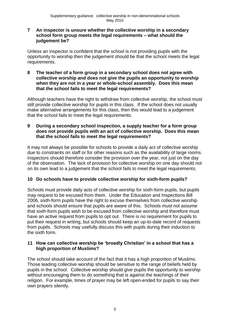## **7 An inspector is unsure whether the collective worship in a secondary school form group meets the legal requirements – what should the judgement be?**

Unless an inspector is confident that the school is not providing pupils with the opportunity to worship then the judgement should be that the school meets the legal requirements.

**8 The teacher of a form group in a secondary school does not agree with collective worship and does not give the pupils an opportunity to worship when they are not in a year or whole-school assembly. Does this mean that the school fails to meet the legal requirements?**

Although teachers have the right to withdraw from collective worship, the school must still provide collective worship for pupils in this class. If the school does not usually make alternative arrangements for this class, then this would lead to a judgement that the school fails to meet the legal requirements.

## **9 During a secondary school inspection, a supply teacher for a form group does not provide pupils with an act of collective worship. Does this mean that the school fails to meet the legal requirements?**

It may not always be possible for schools to provide a daily act of collective worship due to constraints on staff or for other reasons such as the availability of large rooms. Inspectors should therefore consider the provision over the year, not just on the day of the observation. The lack of provision for collective worship on one day should not on its own lead to a judgement that the school fails to meet the legal requirements.

## **10 Do schools have to provide collective worship for sixth-form pupils?**

Schools must provide daily acts of collective worship for sixth-form pupils, but pupils may request to be excused from them. Under the Education and Inspections Bill 2006, sixth-form pupils have the right to excuse themselves from collective worship and schools should ensure that pupils are aware of this. Schools must not assume that sixth-form pupils wish to be excused from collective worship and therefore must have an active request from pupils to opt out. There is no requirement for pupils to put their request in writing, but schools should keep an up-to-date record of requests from pupils. Schools may usefully discuss this with pupils during their induction to the sixth form.

## **11 How can collective worship be 'broadly Christian' in a school that has a high proportion of Muslims?**

The school should take account of the fact that it has a high proportion of Muslims. Those leading collective worship should be sensitive to the range of beliefs held by pupils in the school. Collective worship should give pupils the opportunity to worship without encouraging them to do something that is against the teachings of their religion. For example, times of prayer may be left open-ended for pupils to say their own prayers silently.